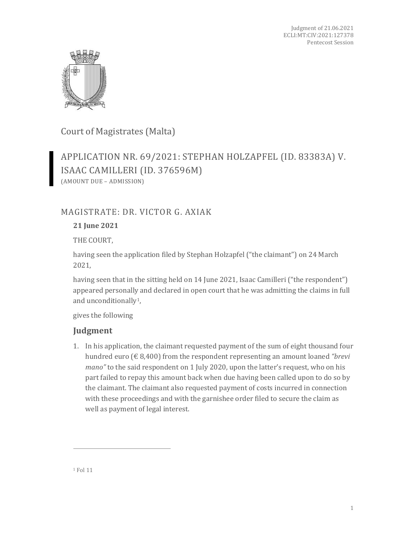

Court of Magistrates (Malta)

APPLICATION NR. 69/2021: STEPHAN HOLZAPFEL (ID. 83383A) V. ISAAC CAMILLERI (ID. 376596M) (AMOUNT DUE – ADMISSION)

## MAGISTRATE: DR. VICTOR G. AXIAK

## **21 June 2021**

THE COURT,

having seen the application filed by Stephan Holzapfel ("the claimant") on 24 March 2021,

having seen that in the sitting held on 14 June 2021, Isaac Camilleri ("the respondent") appeared personally and declared in open court that he was admitting the claims in full and unconditionally[1](#page-0-0),

gives the following

## **Judgment**

<span id="page-0-0"></span>1. In his application, the claimant requested payment of the sum of eight thousand four hundred euro (€ 8,400) from the respondent representing an amount loaned *"brevi mano"* to the said respondent on 1 July 2020, upon the latter's request, who on his part failed to repay this amount back when due having been called upon to do so by the claimant. The claimant also requested payment of costs incurred in connection with these proceedings and with the garnishee order filed to secure the claim as well as payment of legal interest.